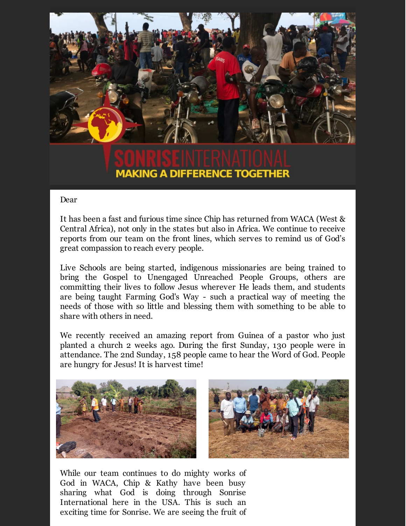

## **MAKING A DIFFERENCE TOGETHER**

## Dear

It has been a fast and furious time since Chip has returned from WACA (West & Central Africa), not only in the states but also in Africa. We continue to receive reports from our team on the front lines, which serves to remind us of God's great compassion to reach every people.

Live Schools are being started, indigenous missionaries are being trained to bring the Gospel to Unengaged Unreached People Groups, others are committing their lives to follow Jesus wherever He leads them, and students are being taught Farming God's Way - such a practical way of meeting the needs of those with so little and blessing them with something to be able to share with others in need.

We recently received an amazing report from Guinea of a pastor who just planted a church 2 weeks ago. During the first Sunday, 130 people were in attendance. The 2nd Sunday, 158 people came to hear the Word of God. People are hungry for Jesus! It is harvest time!



While our team continues to do mighty works of God in WACA, Chip & Kathy have been busy sharing what God is doing through Sonrise International here in the USA. This is such an exciting time for Sonrise. We are seeing the fruit of